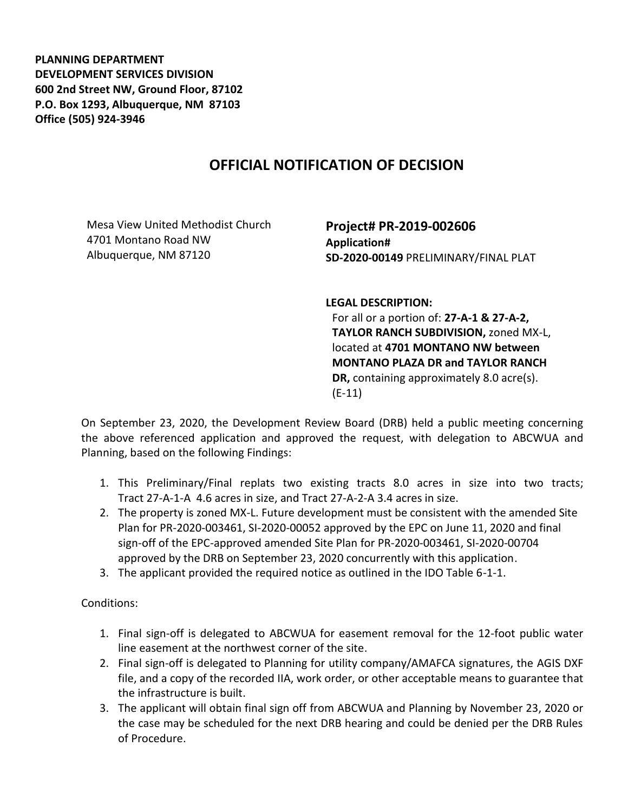**PLANNING DEPARTMENT DEVELOPMENT SERVICES DIVISION 600 2nd Street NW, Ground Floor, 87102 P.O. Box 1293, Albuquerque, NM 87103 Office (505) 924-3946** 

## **OFFICIAL NOTIFICATION OF DECISION**

Mesa View United Methodist Church 4701 Montano Road NW Albuquerque, NM 87120

**Project# PR-2019-002606 Application# SD-2020-00149** PRELIMINARY/FINAL PLAT

**LEGAL DESCRIPTION:**

For all or a portion of: **27-A-1 & 27-A-2, TAYLOR RANCH SUBDIVISION,** zoned MX-L, located at **4701 MONTANO NW between MONTANO PLAZA DR and TAYLOR RANCH DR,** containing approximately 8.0 acre(s). (E-11)

On September 23, 2020, the Development Review Board (DRB) held a public meeting concerning the above referenced application and approved the request, with delegation to ABCWUA and Planning, based on the following Findings:

- 1. This Preliminary/Final replats two existing tracts 8.0 acres in size into two tracts; Tract 27-A-1-A 4.6 acres in size, and Tract 27-A-2-A 3.4 acres in size.
- 2. The property is zoned MX-L. Future development must be consistent with the amended Site Plan for PR-2020-003461, SI-2020-00052 approved by the EPC on June 11, 2020 and final sign-off of the EPC-approved amended Site Plan for PR-2020-003461, SI-2020-00704 approved by the DRB on September 23, 2020 concurrently with this application.
- 3. The applicant provided the required notice as outlined in the IDO Table 6-1-1.

Conditions:

- 1. Final sign-off is delegated to ABCWUA for easement removal for the 12-foot public water line easement at the northwest corner of the site.
- 2. Final sign-off is delegated to Planning for utility company/AMAFCA signatures, the AGIS DXF file, and a copy of the recorded IIA, work order, or other acceptable means to guarantee that the infrastructure is built.
- 3. The applicant will obtain final sign off from ABCWUA and Planning by November 23, 2020 or the case may be scheduled for the next DRB hearing and could be denied per the DRB Rules of Procedure.